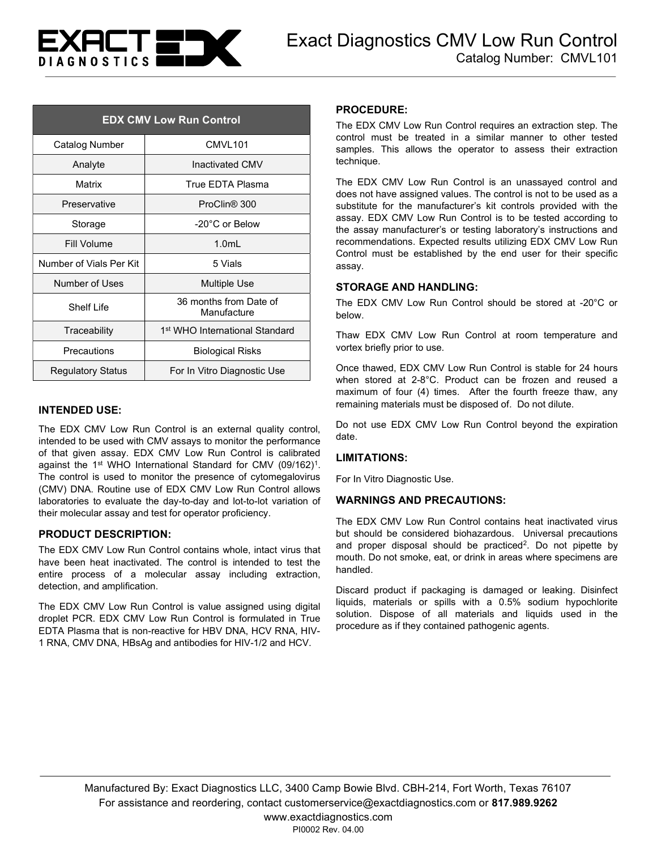

| <b>EDX CMV Low Run Control</b> |                                            |
|--------------------------------|--------------------------------------------|
| Catalog Number                 | CMVL101                                    |
| Analyte                        | <b>Inactivated CMV</b>                     |
| Matrix                         | True EDTA Plasma                           |
| Preservative                   | ProClin <sup>®</sup> 300                   |
| Storage                        | $-20^{\circ}$ C or Below                   |
| Fill Volume                    | $1.0m$ L                                   |
| Number of Vials Per Kit        | 5 Vials                                    |
| Number of Uses                 | <b>Multiple Use</b>                        |
| Shelf I ife                    | 36 months from Date of<br>Manufacture      |
| Traceability                   | 1 <sup>st</sup> WHO International Standard |
| Precautions                    | <b>Biological Risks</b>                    |
| <b>Regulatory Status</b>       | For In Vitro Diagnostic Use                |

### INTENDED USE:

The EDX CMV Low Run Control is an external quality control, intended to be used with CMV assays to monitor the performance of that given assay. EDX CMV Low Run Control is calibrated against the 1<sup>st</sup> WHO International Standard for CMV (09/162)<sup>1</sup>. The control is used to monitor the presence of cytomegalovirus (CMV) DNA. Routine use of EDX CMV Low Run Control allows laboratories to evaluate the day-to-day and lot-to-lot variation of their molecular assay and test for operator proficiency.

### PRODUCT DESCRIPTION:

The EDX CMV Low Run Control contains whole, intact virus that have been heat inactivated. The control is intended to test the entire process of a molecular assay including extraction, detection, and amplification.

The EDX CMV Low Run Control is value assigned using digital droplet PCR. EDX CMV Low Run Control is formulated in True EDTA Plasma that is non-reactive for HBV DNA, HCV RNA, HIV-1 RNA, CMV DNA, HBsAg and antibodies for HIV-1/2 and HCV.

#### PROCEDURE:

The EDX CMV Low Run Control requires an extraction step. The control must be treated in a similar manner to other tested samples. This allows the operator to assess their extraction technique.

The EDX CMV Low Run Control is an unassayed control and does not have assigned values. The control is not to be used as a substitute for the manufacturer's kit controls provided with the assay. EDX CMV Low Run Control is to be tested according to the assay manufacturer's or testing laboratory's instructions and recommendations. Expected results utilizing EDX CMV Low Run Control must be established by the end user for their specific assay.

### STORAGE AND HANDLING:

The EDX CMV Low Run Control should be stored at -20°C or below.

Thaw EDX CMV Low Run Control at room temperature and vortex briefly prior to use.

Once thawed, EDX CMV Low Run Control is stable for 24 hours when stored at 2-8°C. Product can be frozen and reused a maximum of four (4) times. After the fourth freeze thaw, any remaining materials must be disposed of. Do not dilute.

Do not use EDX CMV Low Run Control beyond the expiration date.

### LIMITATIONS:

For In Vitro Diagnostic Use.

### WARNINGS AND PRECAUTIONS:

The EDX CMV Low Run Control contains heat inactivated virus but should be considered biohazardous. Universal precautions and proper disposal should be practiced<sup>2</sup>. Do not pipette by mouth. Do not smoke, eat, or drink in areas where specimens are handled.

Discard product if packaging is damaged or leaking. Disinfect liquids, materials or spills with a 0.5% sodium hypochlorite solution. Dispose of all materials and liquids used in the procedure as if they contained pathogenic agents.